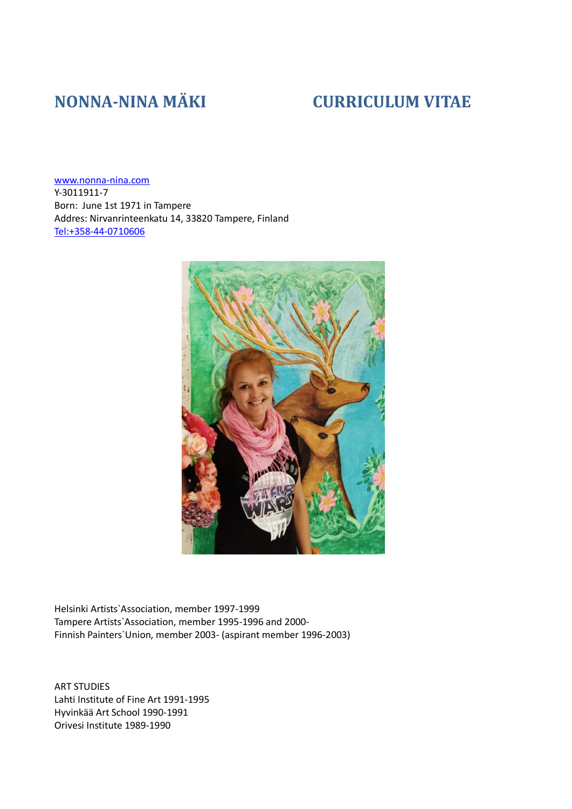# **NONNA-NINA MÄKI CURRICULUM VITAE**

[www.nonna-nina.com](http://www.nonna-nina.com/) Y-3011911-7 Born: June 1st 1971 in Tampere Addres: Nirvanrinteenkatu 14, 33820 Tampere, Finland [Tel:+358-44-0710606](tel:+358-44-0710606)



Helsinki Artists`Association, member 1997-1999 Tampere Artists`Association, member 1995-1996 and 2000- Finnish Painters`Union, member 2003- (aspirant member 1996-2003)

ART STUDIES Lahti Institute of Fine Art 1991-1995 Hyvinkää Art School 1990-1991 Orivesi Institute 1989-1990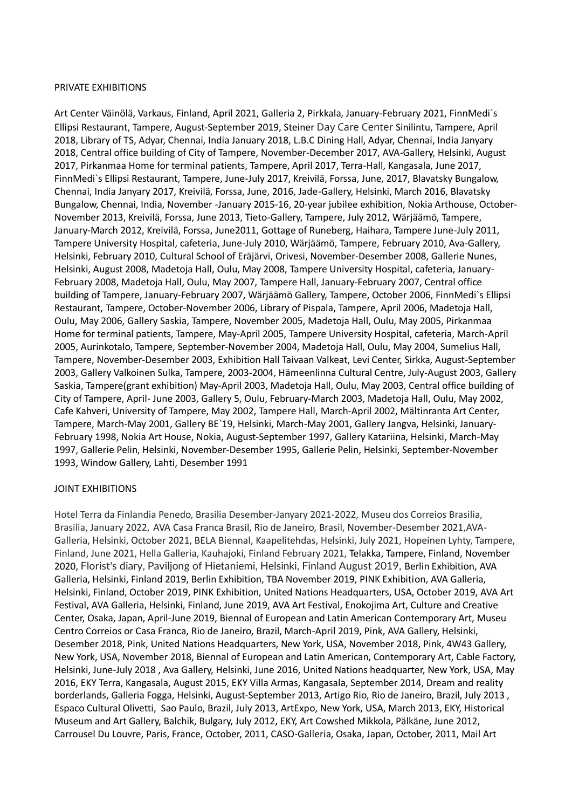# PRIVATE EXHIBITIONS

Art Center Väinölä, Varkaus, Finland, April 2021, Galleria 2, Pirkkala, January-February 2021, FinnMedi`s Ellipsi Restaurant, Tampere, August-September 2019, Steiner Day Care Center Sinilintu, Tampere, April 2018, Library of TS, Adyar, Chennai, India January 2018, L.B.C Dining Hall, Adyar, Chennai, India Janyary 2018, Central office building of City of Tampere, November-December 2017, AVA-Gallery, Helsinki, August 2017, Pirkanmaa Home for terminal patients, Tampere, April 2017, Terra-Hall, Kangasala, June 2017, FinnMedi`s Ellipsi Restaurant, Tampere, June-July 2017, Kreivilä, Forssa, June, 2017, Blavatsky Bungalow, Chennai, India Janyary 2017, Kreivilä, Forssa, June, 2016, Jade-Gallery, Helsinki, March 2016, Blavatsky Bungalow, Chennai, India, November -January 2015-16, 20-year jubilee exhibition, Nokia Arthouse, October-November 2013, Kreivilä, Forssa, June 2013, Tieto-Gallery, Tampere, July 2012, Wärjäämö, Tampere, January-March 2012, Kreivilä, Forssa, June2011, Gottage of Runeberg, Haihara, Tampere June-July 2011, Tampere University Hospital, cafeteria, June-July 2010, Wärjäämö, Tampere, February 2010, Ava-Gallery, Helsinki, February 2010, Cultural School of Eräjärvi, Orivesi, November-Desember 2008, Gallerie Nunes, Helsinki, August 2008, Madetoja Hall, Oulu, May 2008, Tampere University Hospital, cafeteria, January-February 2008, Madetoja Hall, Oulu, May 2007, Tampere Hall, January-February 2007, Central office building of Tampere, January-February 2007, Wärjäämö Gallery, Tampere, October 2006, FinnMedi`s Ellipsi Restaurant, Tampere, October-November 2006, Library of Pispala, Tampere, April 2006, Madetoja Hall, Oulu, May 2006, Gallery Saskia, Tampere, November 2005, Madetoja Hall, Oulu, May 2005, Pirkanmaa Home for terminal patients, Tampere, May-April 2005, Tampere University Hospital, cafeteria, March-April 2005, Aurinkotalo, Tampere, September-November 2004, Madetoja Hall, Oulu, May 2004, Sumelius Hall, Tampere, November-Desember 2003, Exhibition Hall Taivaan Valkeat, Levi Center, Sirkka, August-September 2003, Gallery Valkoinen Sulka, Tampere, 2003-2004, Hämeenlinna Cultural Centre, July-August 2003, Gallery Saskia, Tampere(grant exhibition) May-April 2003, Madetoja Hall, Oulu, May 2003, Central office building of City of Tampere, April- June 2003, Gallery 5, Oulu, February-March 2003, Madetoja Hall, Oulu, May 2002, Cafe Kahveri, University of Tampere, May 2002, Tampere Hall, March-April 2002, Mältinranta Art Center, Tampere, March-May 2001, Gallery BE`19, Helsinki, March-May 2001, Gallery Jangva, Helsinki, January-February 1998, Nokia Art House, Nokia, August-September 1997, Gallery Katariina, Helsinki, March-May 1997, Gallerie Pelin, Helsinki, November-Desember 1995, Gallerie Pelin, Helsinki, September-November 1993, Window Gallery, Lahti, Desember 1991

# JOINT EXHIBITIONS

Hotel Terra da Finlandia Penedo, Brasilia Desember-Janyary 2021-2022, Museu dos Correios Brasilia, Brasilia, January 2022, AVA Casa Franca Brasil, Rio de Janeiro, Brasil, November-Desember 2021,AVA-Galleria, Helsinki, October 2021, BELA Biennal, Kaapelitehdas, Helsinki, July 2021, Hopeinen Lyhty, Tampere, Finland, June 2021, Hella Galleria, Kauhajoki, Finland February 2021, Telakka, Tampere, Finland, November 2020, Florist's diary, Paviljong of Hietaniemi, Helsinki, Finland August 2019, Berlin Exhibition, AVA Galleria, Helsinki, Finland 2019, Berlin Exhibition, TBA November 2019, PINK Exhibition, AVA Galleria, Helsinki, Finland, October 2019, PINK Exhibition, United Nations Headquarters, USA, October 2019, AVA Art Festival, AVA Galleria, Helsinki, Finland, June 2019, AVA Art Festival, Enokojima Art, Culture and Creative Center, Osaka, Japan, April-June 2019, Biennal of European and Latin American Contemporary Art, Museu Centro Correios or Casa Franca, Rio de Janeiro, Brazil, March-April 2019, Pink, AVA Gallery, Helsinki, Desember 2018, Pink, United Nations Headquarters, New York, USA, November 2018, Pink, 4W43 Gallery, New York, USA, November 2018, Biennal of European and Latin American, Contemporary Art, Cable Factory, Helsinki, June-July 2018 , Ava Gallery, Helsinki, June 2016, United Nations headquarter, New York, USA, May 2016, EKY Terra, Kangasala, August 2015, EKY Villa Armas, Kangasala, September 2014, Dream and reality borderlands, Galleria Fogga, Helsinki, August-September 2013, Artigo Rio, Rio de Janeiro, Brazil, July 2013 , Espaco Cultural Olivetti, Sao Paulo, Brazil, July 2013, ArtExpo, New York, USA, March 2013, EKY, Historical Museum and Art Gallery, Balchik, Bulgary, July 2012, EKY, Art Cowshed Mikkola, Pälkäne, June 2012, Carrousel Du Louvre, Paris, France, October, 2011, CASO-Galleria, Osaka, Japan, October, 2011, Mail Art